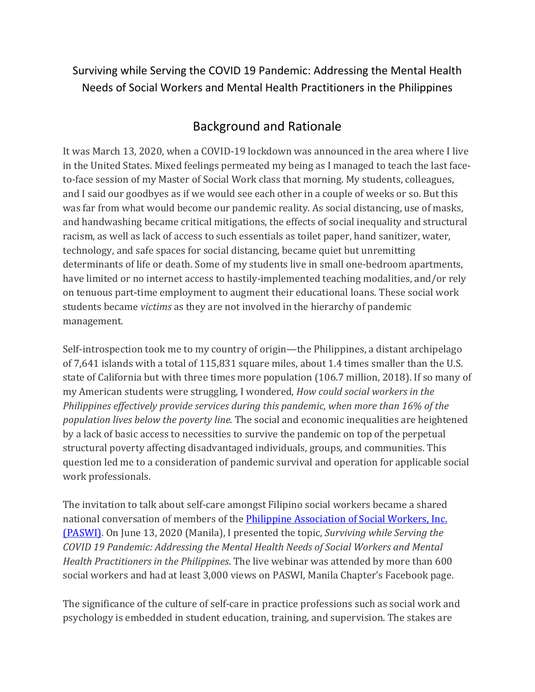Surviving while Serving the COVID 19 Pandemic: Addressing the Mental Health Needs of Social Workers and Mental Health Practitioners in the Philippines

## Background and Rationale

It was March 13, 2020, when a COVID-19 lockdown was announced in the area where I live in the United States. Mixed feelings permeated my being as I managed to teach the last faceto-face session of my Master of Social Work class that morning. My students, colleagues, and I said our goodbyes as if we would see each other in a couple of weeks or so. But this was far from what would become our pandemic reality. As social distancing, use of masks, and handwashing became critical mitigations, the effects of social inequality and structural racism, as well as lack of access to such essentials as toilet paper, hand sanitizer, water, technology, and safe spaces for social distancing, became quiet but unremitting determinants of life or death. Some of my students live in small one-bedroom apartments, have limited or no internet access to hastily-implemented teaching modalities, and/or rely on tenuous part-time employment to augment their educational loans. These social work students became *victims* as they are not involved in the hierarchy of pandemic management.

Self-introspection took me to my country of origin—the Philippines, a distant archipelago of 7,641 islands with a total of 115,831 square miles, about 1.4 times smaller than the U.S. state of California but with three times more population (106.7 million, 2018). If so many of my American students were struggling, I wondered, *How could social workers in the Philippines effectively provide services during this pandemic, when more than 16% of the population lives below the poverty line.* The social and economic inequalities are heightened by a lack of basic access to necessities to survive the pandemic on top of the perpetual structural poverty affecting disadvantaged individuals, groups, and communities. This question led me to a consideration of pandemic survival and operation for applicable social work professionals.

The invitation to talk about self-care amongst Filipino social workers became a shared national conversation of members of the *Philippine Association of Social Workers*, *Inc.* [\(PASWI\).](https://www.ifsw.org/member-organisation/philippines/) On June 13, 2020 (Manila), I presented the topic, *Surviving while Serving the COVID 19 Pandemic: Addressing the Mental Health Needs of Social Workers and Mental Health Practitioners in the Philippines*. The live webinar was attended by more than 600 social workers and had at least 3,000 views on PASWI, Manila Chapter's Facebook page.

The significance of the culture of self-care in practice professions such as social work and psychology is embedded in student education, training, and supervision. The stakes are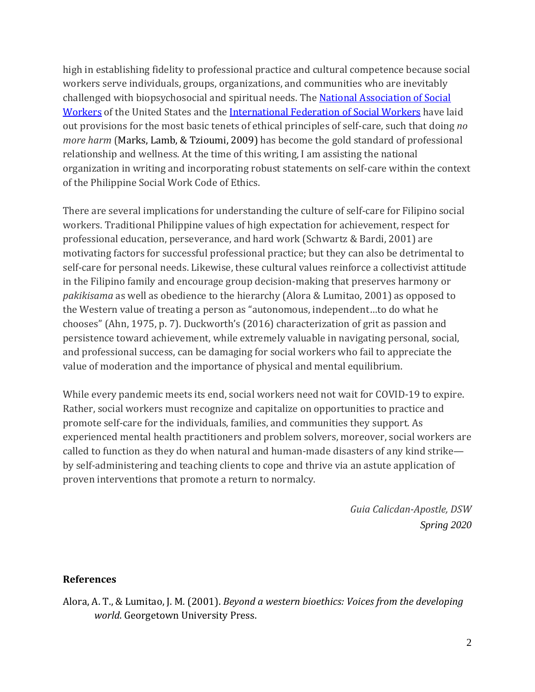high in establishing fidelity to professional practice and cultural competence because social workers serve individuals, groups, organizations, and communities who are inevitably challenged with biopsychosocial and spiritual needs. The [National Association of Social](https://www.socialworkers.org/About/Ethics/Code-of-Ethics/Code-of-Ethics-English)  [Workers](https://www.socialworkers.org/About/Ethics/Code-of-Ethics/Code-of-Ethics-English) of the United States and the [International Federation of Social Workers](https://www.ifsw.org/global-social-work-statement-of-ethical-principles/) have laid out provisions for the most basic tenets of ethical principles of self-care, such that doing *no more harm* (Marks, Lamb, & Tzioumi, 2009) has become the gold standard of professional relationship and wellness. At the time of this writing, I am assisting the national organization in writing and incorporating robust statements on self-care within the context of the Philippine Social Work Code of Ethics.

There are several implications for understanding the culture of self-care for Filipino social workers. Traditional Philippine values of high expectation for achievement, respect for professional education, perseverance, and hard work (Schwartz & Bardi, 2001) are motivating factors for successful professional practice; but they can also be detrimental to self-care for personal needs. Likewise, these cultural values reinforce a collectivist attitude in the Filipino family and encourage group decision-making that preserves harmony or *pakikisama* as well as obedience to the hierarchy (Alora & Lumitao, 2001) as opposed to the Western value of treating a person as "autonomous, independent…to do what he chooses" (Ahn, 1975, p. 7). Duckworth's (2016) characterization of grit as passion and persistence toward achievement, while extremely valuable in navigating personal, social, and professional success, can be damaging for social workers who fail to appreciate the value of moderation and the importance of physical and mental equilibrium.

While every pandemic meets its end, social workers need not wait for COVID-19 to expire. Rather, social workers must recognize and capitalize on opportunities to practice and promote self-care for the individuals, families, and communities they support. As experienced mental health practitioners and problem solvers, moreover, social workers are called to function as they do when natural and human-made disasters of any kind strike by self-administering and teaching clients to cope and thrive via an astute application of proven interventions that promote a return to normalcy.

> *Guia Calicdan-Apostle, DSW Spring 2020*

## **References**

Alora, A. T., & Lumitao, J. M. (2001). *Beyond a western bioethics: Voices from the developing world*. Georgetown University Press.